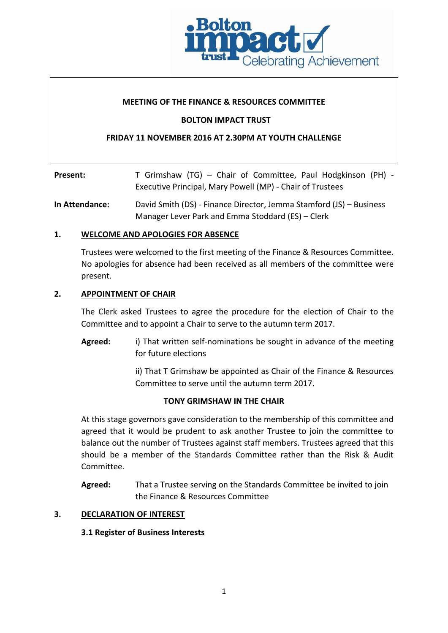

## **MEETING OF THE FINANCE & RESOURCES COMMITTEE**

## **BOLTON IMPACT TRUST**

# **FRIDAY 11 NOVEMBER 2016 AT 2.30PM AT YOUTH CHALLENGE**

| Present: | T Grimshaw (TG) – Chair of Committee, Paul Hodgkinson (PH) - |
|----------|--------------------------------------------------------------|
|          | Executive Principal, Mary Powell (MP) - Chair of Trustees    |

**In Attendance:** David Smith (DS) - Finance Director, Jemma Stamford (JS) – Business Manager Lever Park and Emma Stoddard (ES) – Clerk

## **1. WELCOME AND APOLOGIES FOR ABSENCE**

Trustees were welcomed to the first meeting of the Finance & Resources Committee. No apologies for absence had been received as all members of the committee were present.

#### **2. APPOINTMENT OF CHAIR**

The Clerk asked Trustees to agree the procedure for the election of Chair to the Committee and to appoint a Chair to serve to the autumn term 2017.

**Agreed:** i) That written self-nominations be sought in advance of the meeting for future elections

> ii) That T Grimshaw be appointed as Chair of the Finance & Resources Committee to serve until the autumn term 2017.

## **TONY GRIMSHAW IN THE CHAIR**

At this stage governors gave consideration to the membership of this committee and agreed that it would be prudent to ask another Trustee to join the committee to balance out the number of Trustees against staff members. Trustees agreed that this should be a member of the Standards Committee rather than the Risk & Audit Committee.

**Agreed:** That a Trustee serving on the Standards Committee be invited to join the Finance & Resources Committee

## **3. DECLARATION OF INTEREST**

## **3.1 Register of Business Interests**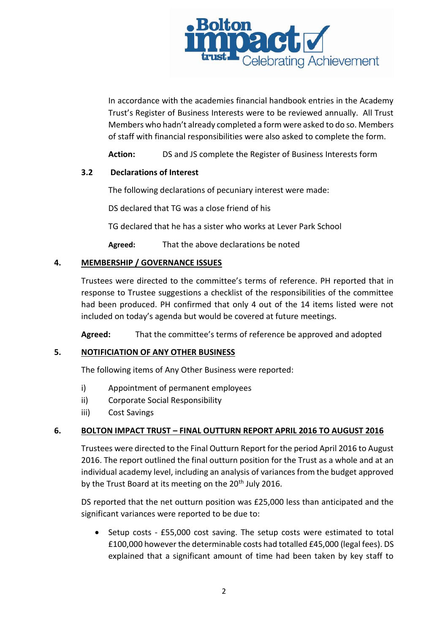

In accordance with the academies financial handbook entries in the Academy Trust's Register of Business Interests were to be reviewed annually. All Trust Members who hadn't already completed a form were asked to do so. Members of staff with financial responsibilities were also asked to complete the form.

**Action:** DS and JS complete the Register of Business Interests form

# **3.2 Declarations of Interest**

The following declarations of pecuniary interest were made:

DS declared that TG was a close friend of his

TG declared that he has a sister who works at Lever Park School

**Agreed:** That the above declarations be noted

# **4. MEMBERSHIP / GOVERNANCE ISSUES**

Trustees were directed to the committee's terms of reference. PH reported that in response to Trustee suggestions a checklist of the responsibilities of the committee had been produced. PH confirmed that only 4 out of the 14 items listed were not included on today's agenda but would be covered at future meetings.

**Agreed:** That the committee's terms of reference be approved and adopted

# **5. NOTIFICIATION OF ANY OTHER BUSINESS**

The following items of Any Other Business were reported:

- i) Appointment of permanent employees
- ii) Corporate Social Responsibility
- iii) Cost Savings

## **6. BOLTON IMPACT TRUST – FINAL OUTTURN REPORT APRIL 2016 TO AUGUST 2016**

Trustees were directed to the Final Outturn Report for the period April 2016 to August 2016. The report outlined the final outturn position for the Trust as a whole and at an individual academy level, including an analysis of variances from the budget approved by the Trust Board at its meeting on the 20<sup>th</sup> July 2016.

DS reported that the net outturn position was £25,000 less than anticipated and the significant variances were reported to be due to:

 Setup costs - £55,000 cost saving. The setup costs were estimated to total £100,000 however the determinable costs had totalled £45,000 (legal fees). DS explained that a significant amount of time had been taken by key staff to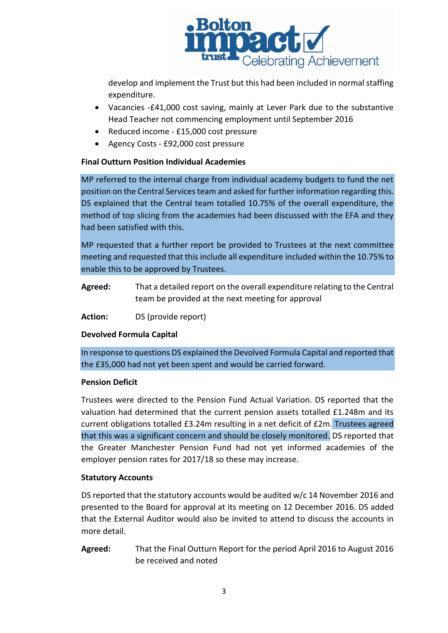

develop and implement the Trust but this had been included in normal staffing expenditure.

- Vacancies -£41,000 cost saving, mainly at Lever Park due to the substantive Head Teacher not commencing employment until September 2016
- Reduced income £15,000 cost pressure
- Agency Costs £92,000 cost pressure

# **Final Outturn Position Individual Academies**

MP referred to the internal charge from individual academy budgets to fund the net position on the Central Services team and asked for further information regarding this. DS explained that the Central team totalled 10.75% of the overall expenditure, the method of top slicing from the academies had been discussed with the EFA and they had been satisfied with this.

MP requested that a further report be provided to Trustees at the next committee meeting and requested that this include all expenditure included within the 10.75% to enable this to be approved by Trustees.

- **Agreed:** That a detailed report on the overall expenditure relating to the Central team be provided at the next meeting for approval
- **Action:** DS (provide report)

# **Devolved Formula Capital**

In response to questions DS explained the Devolved Formula Capital and reported that the £35,000 had not yet been spent and would be carried forward.

## **Pension Deficit**

Trustees were directed to the Pension Fund Actual Variation. DS reported that the valuation had determined that the current pension assets totalled £1.248m and its current obligations totalled £3.24m resulting in a net deficit of £2m. Trustees agreed that this was a significant concern and should be closely monitored. DS reported that the Greater Manchester Pension Fund had not yet informed academies of the employer pension rates for 2017/18 so these may increase.

## **Statutory Accounts**

DS reported that the statutory accounts would be audited w/c 14 November 2016 and presented to the Board for approval at its meeting on 12 December 2016. DS added that the External Auditor would also be invited to attend to discuss the accounts in more detail.

**Agreed:** That the Final Outturn Report for the period April 2016 to August 2016 be received and noted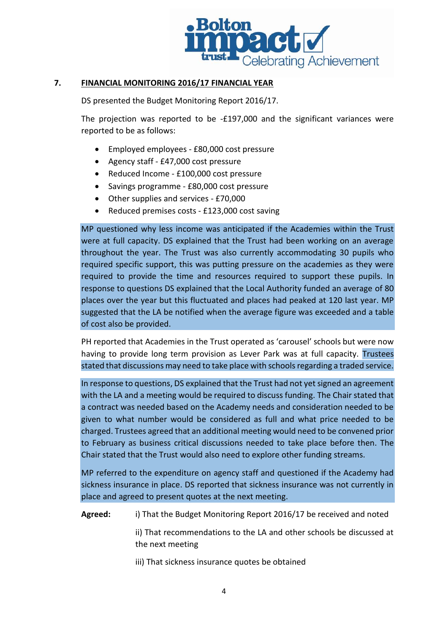

# **7. FINANCIAL MONITORING 2016/17 FINANCIAL YEAR**

DS presented the Budget Monitoring Report 2016/17.

The projection was reported to be -£197,000 and the significant variances were reported to be as follows:

- Employed employees £80,000 cost pressure
- Agency staff £47,000 cost pressure
- Reduced Income £100,000 cost pressure
- Savings programme £80,000 cost pressure
- Other supplies and services £70,000
- Reduced premises costs £123,000 cost saving

MP questioned why less income was anticipated if the Academies within the Trust were at full capacity. DS explained that the Trust had been working on an average throughout the year. The Trust was also currently accommodating 30 pupils who required specific support, this was putting pressure on the academies as they were required to provide the time and resources required to support these pupils. In response to questions DS explained that the Local Authority funded an average of 80 places over the year but this fluctuated and places had peaked at 120 last year. MP suggested that the LA be notified when the average figure was exceeded and a table of cost also be provided.

PH reported that Academies in the Trust operated as 'carousel' schools but were now having to provide long term provision as Lever Park was at full capacity. Trustees stated that discussions may need to take place with schools regarding a traded service.

In response to questions, DS explained that the Trust had not yet signed an agreement with the LA and a meeting would be required to discuss funding. The Chair stated that a contract was needed based on the Academy needs and consideration needed to be given to what number would be considered as full and what price needed to be charged. Trustees agreed that an additional meeting would need to be convened prior to February as business critical discussions needed to take place before then. The Chair stated that the Trust would also need to explore other funding streams.

MP referred to the expenditure on agency staff and questioned if the Academy had sickness insurance in place. DS reported that sickness insurance was not currently in place and agreed to present quotes at the next meeting.

**Agreed:** i) That the Budget Monitoring Report 2016/17 be received and noted

ii) That recommendations to the LA and other schools be discussed at the next meeting

iii) That sickness insurance quotes be obtained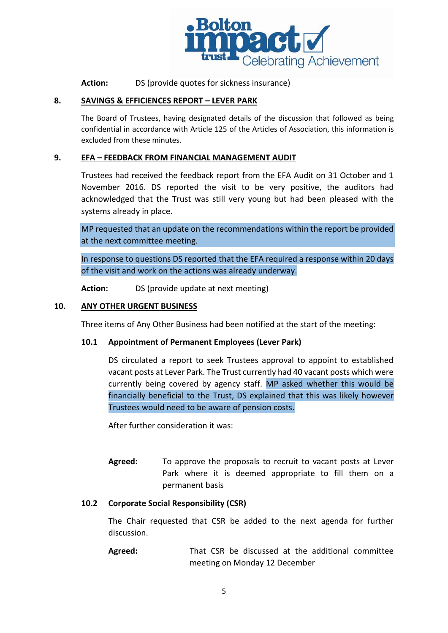

**Action:** DS (provide quotes for sickness insurance)

### **8. SAVINGS & EFFICIENCES REPORT – LEVER PARK**

The Board of Trustees, having designated details of the discussion that followed as being confidential in accordance with Article 125 of the Articles of Association, this information is excluded from these minutes.

### **9. EFA – FEEDBACK FROM FINANCIAL MANAGEMENT AUDIT**

Trustees had received the feedback report from the EFA Audit on 31 October and 1 November 2016. DS reported the visit to be very positive, the auditors had acknowledged that the Trust was still very young but had been pleased with the systems already in place.

MP requested that an update on the recommendations within the report be provided at the next committee meeting.

In response to questions DS reported that the EFA required a response within 20 days of the visit and work on the actions was already underway.

**Action:** DS (provide update at next meeting)

#### **10. ANY OTHER URGENT BUSINESS**

Three items of Any Other Business had been notified at the start of the meeting:

#### **10.1 Appointment of Permanent Employees (Lever Park)**

DS circulated a report to seek Trustees approval to appoint to established vacant posts at Lever Park. The Trust currently had 40 vacant posts which were currently being covered by agency staff. MP asked whether this would be financially beneficial to the Trust, DS explained that this was likely however Trustees would need to be aware of pension costs.

After further consideration it was:

**Agreed:** To approve the proposals to recruit to vacant posts at Lever Park where it is deemed appropriate to fill them on a permanent basis

#### **10.2 Corporate Social Responsibility (CSR)**

The Chair requested that CSR be added to the next agenda for further discussion.

**Agreed:** That CSR be discussed at the additional committee meeting on Monday 12 December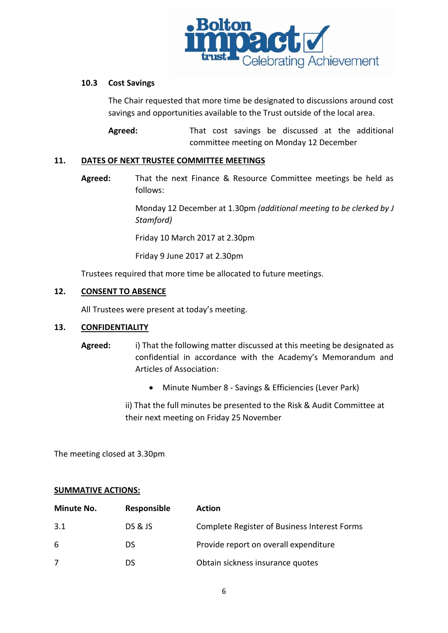

## **10.3 Cost Savings**

The Chair requested that more time be designated to discussions around cost savings and opportunities available to the Trust outside of the local area.

Agreed: That cost savings be discussed at the additional committee meeting on Monday 12 December

## **11. DATES OF NEXT TRUSTEE COMMITTEE MEETINGS**

**Agreed:** That the next Finance & Resource Committee meetings be held as follows:

> Monday 12 December at 1.30pm *(additional meeting to be clerked by J Stamford)*

Friday 10 March 2017 at 2.30pm

Friday 9 June 2017 at 2.30pm

Trustees required that more time be allocated to future meetings.

# **12. CONSENT TO ABSENCE**

All Trustees were present at today's meeting.

## **13. CONFIDENTIALITY**

- **Agreed:** i) That the following matter discussed at this meeting be designated as confidential in accordance with the Academy's Memorandum and Articles of Association:
	- Minute Number 8 Savings & Efficiencies (Lever Park)

ii) That the full minutes be presented to the Risk & Audit Committee at their next meeting on Friday 25 November

The meeting closed at 3.30pm

## **SUMMATIVE ACTIONS:**

| <b>Minute No.</b> | Responsible        | <b>Action</b>                                       |
|-------------------|--------------------|-----------------------------------------------------|
| 3.1               | <b>DS &amp; JS</b> | <b>Complete Register of Business Interest Forms</b> |
| 6                 | DS                 | Provide report on overall expenditure               |
|                   | Dς                 | Obtain sickness insurance quotes                    |